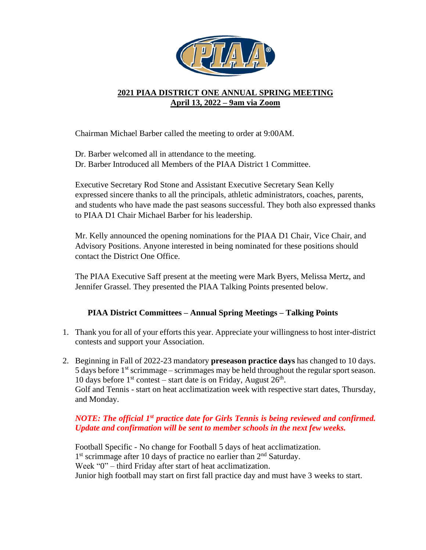

## **2021 PIAA DISTRICT ONE ANNUAL SPRING MEETING April 13, 2022 – 9am via Zoom**

Chairman Michael Barber called the meeting to order at 9:00AM.

Dr. Barber welcomed all in attendance to the meeting. Dr. Barber Introduced all Members of the PIAA District 1 Committee.

Executive Secretary Rod Stone and Assistant Executive Secretary Sean Kelly expressed sincere thanks to all the principals, athletic administrators, coaches, parents, and students who have made the past seasons successful. They both also expressed thanks to PIAA D1 Chair Michael Barber for his leadership.

Mr. Kelly announced the opening nominations for the PIAA D1 Chair, Vice Chair, and Advisory Positions. Anyone interested in being nominated for these positions should contact the District One Office.

The PIAA Executive Saff present at the meeting were Mark Byers, Melissa Mertz, and Jennifer Grassel. They presented the PIAA Talking Points presented below.

## **PIAA District Committees – Annual Spring Meetings – Talking Points**

- 1. Thank you for all of your efforts this year. Appreciate your willingness to host inter-district contests and support your Association.
- 2. Beginning in Fall of 2022-23 mandatory **preseason practice days** has changed to 10 days. 5 days before  $1<sup>st</sup>$  scrimmage – scrimmages may be held throughout the regular sport season. 10 days before  $1<sup>st</sup>$  contest – start date is on Friday, August  $26<sup>th</sup>$ . Golf and Tennis - start on heat acclimatization week with respective start dates, Thursday, and Monday.

## *NOTE: The official 1st practice date for Girls Tennis is being reviewed and confirmed. Update and confirmation will be sent to member schools in the next few weeks.*

Football Specific - No change for Football 5 days of heat acclimatization. 1<sup>st</sup> scrimmage after 10 days of practice no earlier than 2<sup>nd</sup> Saturday. Week "0" – third Friday after start of heat acclimatization. Junior high football may start on first fall practice day and must have 3 weeks to start.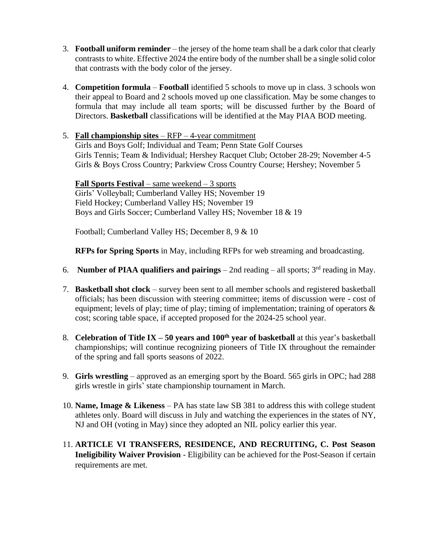- 3. **Football uniform reminder** the jersey of the home team shall be a dark color that clearly contrasts to white. Effective 2024 the entire body of the number shall be a single solid color that contrasts with the body color of the jersey.
- 4. **Competition formula Football** identified 5 schools to move up in class. 3 schools won their appeal to Board and 2 schools moved up one classification. May be some changes to formula that may include all team sports; will be discussed further by the Board of Directors. **Basketball** classifications will be identified at the May PIAA BOD meeting.
- 5. **Fall championship sites** RFP 4-year commitment

Girls and Boys Golf; Individual and Team; Penn State Golf Courses Girls Tennis; Team & Individual; Hershey Racquet Club; October 28-29; November 4-5 Girls & Boys Cross Country; Parkview Cross Country Course; Hershey; November 5

**Fall Sports Festival** – same weekend – 3 sports Girls' Volleyball; Cumberland Valley HS; November 19 Field Hockey; Cumberland Valley HS; November 19 Boys and Girls Soccer; Cumberland Valley HS; November 18 & 19

Football; Cumberland Valley HS; December 8, 9 & 10

**RFPs for Spring Sports** in May, including RFPs for web streaming and broadcasting.

- 6. **Number of PIAA qualifiers and pairings** 2nd reading all sports; 3rd reading in May.
- 7. **Basketball shot clock** survey been sent to all member schools and registered basketball officials; has been discussion with steering committee; items of discussion were - cost of equipment; levels of play; time of play; timing of implementation; training of operators & cost; scoring table space, if accepted proposed for the 2024-25 school year.
- 8. **Celebration of Title IX – 50 years and 100th year of basketball** at this year's basketball championships; will continue recognizing pioneers of Title IX throughout the remainder of the spring and fall sports seasons of 2022.
- 9. **Girls wrestling** approved as an emerging sport by the Board. 565 girls in OPC; had 288 girls wrestle in girls' state championship tournament in March.
- 10. **Name, Image & Likeness** PA has state law SB 381 to address this with college student athletes only. Board will discuss in July and watching the experiences in the states of NY, NJ and OH (voting in May) since they adopted an NIL policy earlier this year.
- 11. **ARTICLE VI TRANSFERS, RESIDENCE, AND RECRUITING, C. Post Season Ineligibility Waiver Provision** - Eligibility can be achieved for the Post-Season if certain requirements are met.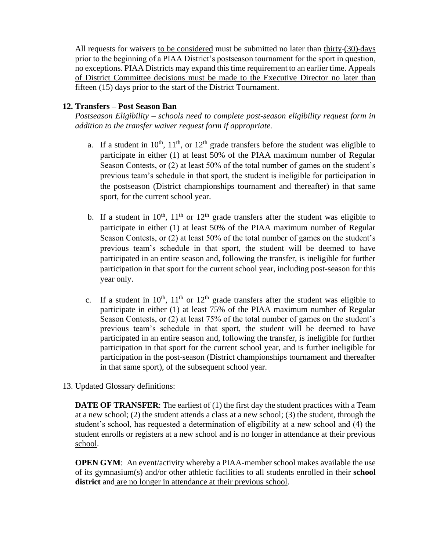All requests for waivers to be considered must be submitted no later than thirty-(30)-days prior to the beginning of a PIAA District's postseason tournament for the sport in question, no exceptions. PIAA Districts may expand this time requirement to an earlier time. Appeals of District Committee decisions must be made to the Executive Director no later than fifteen (15) days prior to the start of the District Tournament.

## **12. Transfers – Post Season Ban**

*Postseason Eligibility – schools need to complete post-season eligibility request form in addition to the transfer waiver request form if appropriate.*

- a. If a student in  $10^{th}$ ,  $11^{th}$ , or  $12^{th}$  grade transfers before the student was eligible to participate in either (1) at least 50% of the PIAA maximum number of Regular Season Contests, or (2) at least 50% of the total number of games on the student's previous team's schedule in that sport, the student is ineligible for participation in the postseason (District championships tournament and thereafter) in that same sport, for the current school year.
- b. If a student in  $10^{th}$ ,  $11^{th}$  or  $12^{th}$  grade transfers after the student was eligible to participate in either (1) at least 50% of the PIAA maximum number of Regular Season Contests, or (2) at least 50% of the total number of games on the student's previous team's schedule in that sport, the student will be deemed to have participated in an entire season and, following the transfer, is ineligible for further participation in that sport for the current school year, including post-season for this year only.
- c. If a student in  $10^{th}$ ,  $11^{th}$  or  $12^{th}$  grade transfers after the student was eligible to participate in either (1) at least 75% of the PIAA maximum number of Regular Season Contests, or (2) at least 75% of the total number of games on the student's previous team's schedule in that sport, the student will be deemed to have participated in an entire season and, following the transfer, is ineligible for further participation in that sport for the current school year, and is further ineligible for participation in the post-season (District championships tournament and thereafter in that same sport), of the subsequent school year.
- 13. Updated Glossary definitions:

**DATE OF TRANSFER:** The earliest of (1) the first day the student practices with a Team at a new school; (2) the student attends a class at a new school; (3) the student, through the student's school, has requested a determination of eligibility at a new school and (4) the student enrolls or registers at a new school and is no longer in attendance at their previous school.

**OPEN GYM:** An event/activity whereby a PIAA-member school makes available the use of its gymnasium(s) and/or other athletic facilities to all students enrolled in their **school district** and are no longer in attendance at their previous school.